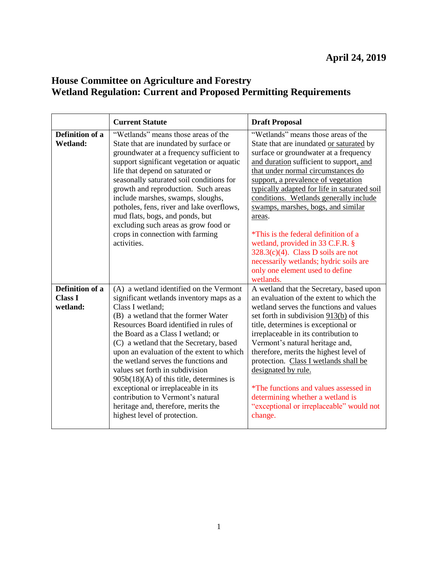## **House Committee on Agriculture and Forestry Wetland Regulation: Current and Proposed Permitting Requirements**

|                                               | <b>Current Statute</b>                                                                                                                                                                                                                                                                                                                                                                                                                                                                                                                                                                             | <b>Draft Proposal</b>                                                                                                                                                                                                                                                                                                                                                                                                                                                                                                                               |
|-----------------------------------------------|----------------------------------------------------------------------------------------------------------------------------------------------------------------------------------------------------------------------------------------------------------------------------------------------------------------------------------------------------------------------------------------------------------------------------------------------------------------------------------------------------------------------------------------------------------------------------------------------------|-----------------------------------------------------------------------------------------------------------------------------------------------------------------------------------------------------------------------------------------------------------------------------------------------------------------------------------------------------------------------------------------------------------------------------------------------------------------------------------------------------------------------------------------------------|
| Definition of a<br><b>Wetland:</b>            | "Wetlands" means those areas of the<br>State that are inundated by surface or<br>groundwater at a frequency sufficient to<br>support significant vegetation or aquatic<br>life that depend on saturated or<br>seasonally saturated soil conditions for<br>growth and reproduction. Such areas<br>include marshes, swamps, sloughs,<br>potholes, fens, river and lake overflows,<br>mud flats, bogs, and ponds, but<br>excluding such areas as grow food or<br>crops in connection with farming<br>activities.                                                                                      | "Wetlands" means those areas of the<br>State that are inundated or saturated by<br>surface or groundwater at a frequency<br>and duration sufficient to support, and<br>that under normal circumstances do<br>support, a prevalence of vegetation<br>typically adapted for life in saturated soil<br>conditions. Wetlands generally include<br>swamps, marshes, bogs, and similar<br>areas.<br>*This is the federal definition of a<br>wetland, provided in 33 C.F.R. §<br>$328.3(c)(4)$ . Class D soils are not                                     |
|                                               |                                                                                                                                                                                                                                                                                                                                                                                                                                                                                                                                                                                                    | necessarily wetlands; hydric soils are<br>only one element used to define<br>wetlands.                                                                                                                                                                                                                                                                                                                                                                                                                                                              |
| Definition of a<br><b>Class I</b><br>wetland: | (A) a wetland identified on the Vermont<br>significant wetlands inventory maps as a<br>Class I wetland:<br>(B) a wetland that the former Water<br>Resources Board identified in rules of<br>the Board as a Class I wetland; or<br>(C) a wetland that the Secretary, based<br>upon an evaluation of the extent to which<br>the wetland serves the functions and<br>values set forth in subdivision<br>$905b(18)(A)$ of this title, determines is<br>exceptional or irreplaceable in its<br>contribution to Vermont's natural<br>heritage and, therefore, merits the<br>highest level of protection. | A wetland that the Secretary, based upon<br>an evaluation of the extent to which the<br>wetland serves the functions and values<br>set forth in subdivision $913(b)$ of this<br>title, determines is exceptional or<br>irreplaceable in its contribution to<br>Vermont's natural heritage and,<br>therefore, merits the highest level of<br>protection. Class I wetlands shall be<br>designated by rule.<br><i>*The functions and values assessed in</i><br>determining whether a wetland is<br>"exceptional or irreplaceable" would not<br>change. |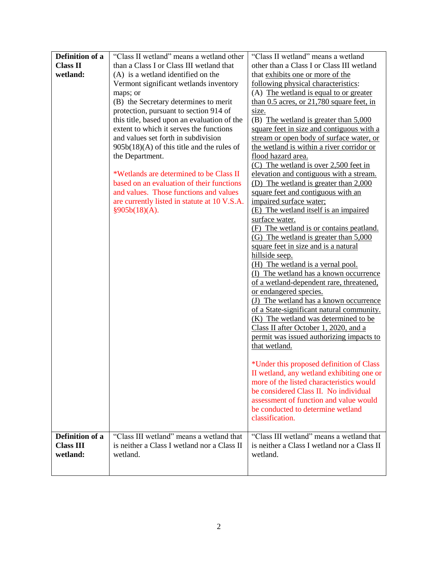| Definition of a  | "Class II wetland" means a wetland other     | "Class II wetland" means a wetland            |
|------------------|----------------------------------------------|-----------------------------------------------|
| <b>Class II</b>  | than a Class I or Class III wetland that     | other than a Class I or Class III wetland     |
| wetland:         | (A) is a wetland identified on the           | that exhibits one or more of the              |
|                  | Vermont significant wetlands inventory       | following physical characteristics:           |
|                  | maps; or                                     | (A) The wetland is equal to or greater        |
|                  | (B) the Secretary determines to merit        | than $0.5$ acres, or $21,780$ square feet, in |
|                  | protection, pursuant to section 914 of       | size.                                         |
|                  | this title, based upon an evaluation of the  | (B) The wetland is greater than 5,000         |
|                  | extent to which it serves the functions      | square feet in size and contiguous with a     |
|                  | and values set forth in subdivision          | stream or open body of surface water, or      |
|                  | $905b(18)(A)$ of this title and the rules of | the wetland is within a river corridor or     |
|                  | the Department.                              | flood hazard area.                            |
|                  |                                              | $(C)$ The wetland is over 2,500 feet in       |
|                  | *Wetlands are determined to be Class II      | elevation and contiguous with a stream.       |
|                  | based on an evaluation of their functions    | (D) The wetland is greater than 2,000         |
|                  | and values. Those functions and values       | square feet and contiguous with an            |
|                  | are currently listed in statute at 10 V.S.A. | impaired surface water;                       |
|                  | §905b(18)(A).                                | (E) The wetland itself is an impaired         |
|                  |                                              | surface water.                                |
|                  |                                              | (F) The wetland is or contains peatland.      |
|                  |                                              | (G) The wetland is greater than 5,000         |
|                  |                                              | square feet in size and is a natural          |
|                  |                                              | hillside seep.                                |
|                  |                                              | (H) The wetland is a vernal pool.             |
|                  |                                              | (I) The wetland has a known occurrence        |
|                  |                                              | of a wetland-dependent rare, threatened,      |
|                  |                                              | or endangered species.                        |
|                  |                                              | (J) The wetland has a known occurrence        |
|                  |                                              | of a State-significant natural community.     |
|                  |                                              | (K) The wetland was determined to be          |
|                  |                                              | Class II after October 1, 2020, and a         |
|                  |                                              | permit was issued authorizing impacts to      |
|                  |                                              | that wetland.                                 |
|                  |                                              |                                               |
|                  |                                              | *Under this proposed definition of Class      |
|                  |                                              | II wetland, any wetland exhibiting one or     |
|                  |                                              | more of the listed characteristics would      |
|                  |                                              | be considered Class II. No individual         |
|                  |                                              | assessment of function and value would        |
|                  |                                              | be conducted to determine wetland             |
|                  |                                              | classification.                               |
|                  |                                              |                                               |
| Definition of a  | "Class III wetland" means a wetland that     | "Class III wetland" means a wetland that      |
| <b>Class III</b> | is neither a Class I wetland nor a Class II  | is neither a Class I wetland nor a Class II   |
| wetland:         | wetland.                                     | wetland.                                      |
|                  |                                              |                                               |
|                  |                                              |                                               |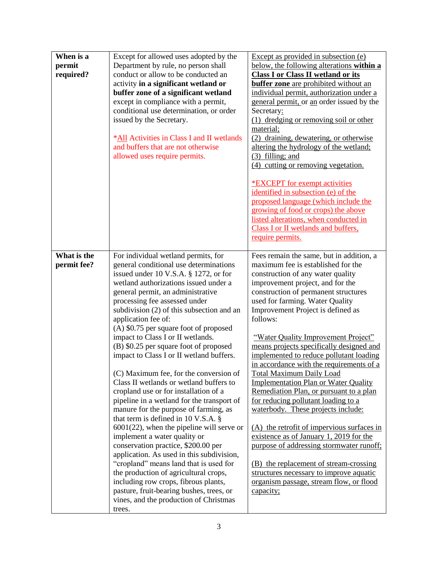| When is a   | Except for allowed uses adopted by the                                       | Except as provided in subsection (e)         |
|-------------|------------------------------------------------------------------------------|----------------------------------------------|
| permit      | Department by rule, no person shall                                          | below, the following alterations within a    |
| required?   | conduct or allow to be conducted an                                          | <b>Class I or Class II wetland or its</b>    |
|             | activity in a significant wetland or                                         | <b>buffer</b> zone are prohibited without an |
|             | buffer zone of a significant wetland                                         | individual permit, authorization under a     |
|             | except in compliance with a permit,                                          | general permit, or an order issued by the    |
|             | conditional use determination, or order                                      | Secretary:                                   |
|             | issued by the Secretary.                                                     | (1) dredging or removing soil or other       |
|             |                                                                              |                                              |
|             |                                                                              | material;                                    |
|             | *All Activities in Class I and II wetlands                                   | draining, dewatering, or otherwise<br>(2)    |
|             | and buffers that are not otherwise                                           | altering the hydrology of the wetland;       |
|             | allowed uses require permits.                                                | $(3)$ filling; and                           |
|             |                                                                              | (4) cutting or removing vegetation.          |
|             |                                                                              |                                              |
|             |                                                                              | <b>*EXCEPT</b> for exempt activities         |
|             |                                                                              | identified in subsection (e) of the          |
|             |                                                                              | proposed language (which include the         |
|             |                                                                              | growing of food or crops) the above          |
|             |                                                                              | listed alterations, when conducted in        |
|             |                                                                              | Class I or II wetlands and buffers,          |
|             |                                                                              | require permits.                             |
|             |                                                                              |                                              |
| What is the | For individual wetland permits, for                                          | Fees remain the same, but in addition, a     |
| permit fee? | general conditional use determinations                                       | maximum fee is established for the           |
|             | issued under 10 V.S.A. $\S$ 1272, or for                                     | construction of any water quality            |
|             | wetland authorizations issued under a                                        | improvement project, and for the             |
|             | general permit, an administrative                                            | construction of permanent structures         |
|             | processing fee assessed under                                                | used for farming. Water Quality              |
|             | subdivision (2) of this subsection and an                                    | Improvement Project is defined as            |
|             | application fee of:                                                          | follows:                                     |
|             | (A) \$0.75 per square foot of proposed                                       |                                              |
|             | impact to Class I or II wetlands.                                            | "Water Quality Improvement Project"          |
|             | (B) \$0.25 per square foot of proposed                                       | means projects specifically designed and     |
|             | impact to Class I or II wetland buffers.                                     | implemented to reduce pollutant loading      |
|             |                                                                              | in accordance with the requirements of a     |
|             | (C) Maximum fee, for the conversion of                                       | <b>Total Maximum Daily Load</b>              |
|             | Class II wetlands or wetland buffers to                                      | <b>Implementation Plan or Water Quality</b>  |
|             | cropland use or for installation of a                                        | Remediation Plan, or pursuant to a plan      |
|             | pipeline in a wetland for the transport of                                   | for reducing pollutant loading to a          |
|             |                                                                              |                                              |
|             | manure for the purpose of farming, as<br>that term is defined in 10 V.S.A. § | waterbody. These projects include:           |
|             |                                                                              |                                              |
|             | $6001(22)$ , when the pipeline will serve or                                 | (A) the retrofit of impervious surfaces in   |
|             | implement a water quality or                                                 | existence as of January 1, 2019 for the      |
|             | conservation practice, \$200.00 per                                          | purpose of addressing stormwater runoff;     |
|             | application. As used in this subdivision,                                    |                                              |
|             | "cropland" means land that is used for                                       | (B) the replacement of stream-crossing       |
|             | the production of agricultural crops,                                        | structures necessary to improve aquatic      |
|             | including row crops, fibrous plants,                                         | organism passage, stream flow, or flood      |
|             | pasture, fruit-bearing bushes, trees, or                                     | capacity;                                    |
|             | vines, and the production of Christmas                                       |                                              |
|             | trees.                                                                       |                                              |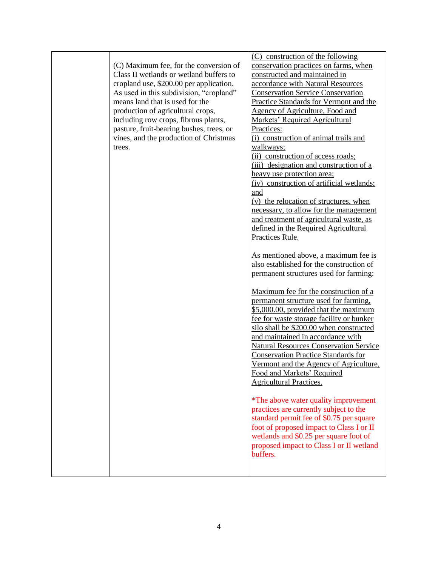| (C) Maximum fee, for the conversion of<br>Class II wetlands or wetland buffers to<br>cropland use, \$200.00 per application.<br>As used in this subdivision, "cropland"<br>means land that is used for the<br>production of agricultural crops,<br>including row crops, fibrous plants,<br>pasture, fruit-bearing bushes, trees, or<br>vines, and the production of Christmas<br>trees. | (C) construction of the following<br>conservation practices on farms, when<br>constructed and maintained in<br>accordance with Natural Resources<br><b>Conservation Service Conservation</b><br>Practice Standards for Vermont and the<br>Agency of Agriculture, Food and<br>Markets' Required Agricultural<br>Practices:<br>(i) construction of animal trails and<br>walkways;<br>(ii) construction of access roads;<br>(iii) designation and construction of a<br>heavy use protection area;<br>(iv) construction of artificial wetlands;<br>and<br>(v) the relocation of structures, when<br>necessary, to allow for the management<br>and treatment of agricultural waste, as<br>defined in the Required Agricultural<br>Practices Rule.<br>As mentioned above, a maximum fee is<br>also established for the construction of<br>permanent structures used for farming: |
|-----------------------------------------------------------------------------------------------------------------------------------------------------------------------------------------------------------------------------------------------------------------------------------------------------------------------------------------------------------------------------------------|----------------------------------------------------------------------------------------------------------------------------------------------------------------------------------------------------------------------------------------------------------------------------------------------------------------------------------------------------------------------------------------------------------------------------------------------------------------------------------------------------------------------------------------------------------------------------------------------------------------------------------------------------------------------------------------------------------------------------------------------------------------------------------------------------------------------------------------------------------------------------|
|                                                                                                                                                                                                                                                                                                                                                                                         | Maximum fee for the construction of a<br>permanent structure used for farming,<br>\$5,000.00, provided that the maximum<br>fee for waste storage facility or bunker<br>silo shall be \$200.00 when constructed<br>and maintained in accordance with<br><b>Natural Resources Conservation Service</b><br><b>Conservation Practice Standards for</b><br>Vermont and the Agency of Agriculture,<br>Food and Markets' Required<br><b>Agricultural Practices.</b><br><i>*</i> The above water quality improvement<br>practices are currently subject to the<br>standard permit fee of \$0.75 per square<br>foot of proposed impact to Class I or II<br>wetlands and \$0.25 per square foot of<br>proposed impact to Class I or II wetland<br>buffers.                                                                                                                           |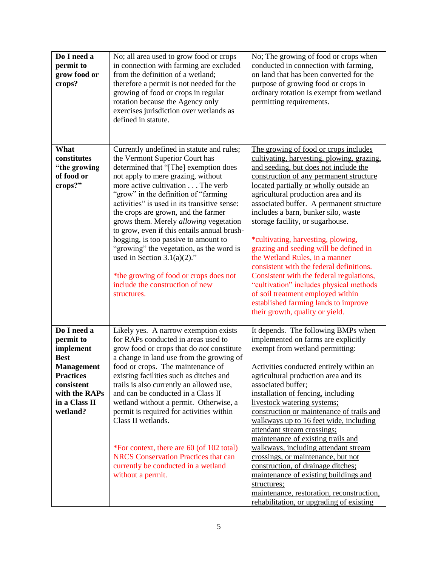| Do I need a<br>permit to<br>grow food or<br>crops?                                                                                                        | No; all area used to grow food or crops<br>in connection with farming are excluded<br>from the definition of a wetland;<br>therefore a permit is not needed for the<br>growing of food or crops in regular<br>rotation because the Agency only<br>exercises jurisdiction over wetlands as<br>defined in statute.                                                                                                                                                                                                                                                                                                                       | No; The growing of food or crops when<br>conducted in connection with farming,<br>on land that has been converted for the<br>purpose of growing food or crops in<br>ordinary rotation is exempt from wetland<br>permitting requirements.                                                                                                                                                                                                                                                                                                                                                                                                                                                                                                              |
|-----------------------------------------------------------------------------------------------------------------------------------------------------------|----------------------------------------------------------------------------------------------------------------------------------------------------------------------------------------------------------------------------------------------------------------------------------------------------------------------------------------------------------------------------------------------------------------------------------------------------------------------------------------------------------------------------------------------------------------------------------------------------------------------------------------|-------------------------------------------------------------------------------------------------------------------------------------------------------------------------------------------------------------------------------------------------------------------------------------------------------------------------------------------------------------------------------------------------------------------------------------------------------------------------------------------------------------------------------------------------------------------------------------------------------------------------------------------------------------------------------------------------------------------------------------------------------|
| What<br>constitutes<br>"the growing<br>of food or<br>crops?"                                                                                              | Currently undefined in statute and rules;<br>the Vermont Superior Court has<br>determined that "[The] exemption does<br>not apply to mere grazing, without<br>more active cultivation The verb<br>"grow" in the definition of "farming"<br>activities" is used in its transitive sense:<br>the crops are grown, and the farmer<br>grows them. Merely allowing vegetation<br>to grow, even if this entails annual brush-<br>hogging, is too passive to amount to<br>"growing" the vegetation, as the word is<br>used in Section 3.1(a)(2)."<br>*the growing of food or crops does not<br>include the construction of new<br>structures. | The growing of food or crops includes<br>cultivating, harvesting, plowing, grazing,<br>and seeding, but does not include the<br>construction of any permanent structure<br>located partially or wholly outside an<br>agricultural production area and its<br>associated buffer. A permanent structure<br>includes a barn, bunker silo, waste<br>storage facility, or sugarhouse.<br>*cultivating, harvesting, plowing,<br>grazing and seeding will be defined in<br>the Wetland Rules, in a manner<br>consistent with the federal definitions.<br>Consistent with the federal regulations,<br>"cultivation" includes physical methods<br>of soil treatment employed within<br>established farming lands to improve<br>their growth, quality or yield. |
| Do I need a<br>permit to<br>implement<br><b>Best</b><br><b>Management</b><br><b>Practices</b><br>consistent<br>with the RAPs<br>in a Class II<br>wetland? | Likely yes. A narrow exemption exists<br>for RAPs conducted in areas used to<br>grow food or crops that do not constitute<br>a change in land use from the growing of<br>food or crops. The maintenance of<br>existing facilities such as ditches and<br>trails is also currently an allowed use,<br>and can be conducted in a Class II<br>wetland without a permit. Otherwise, a<br>permit is required for activities within<br>Class II wetlands.<br>*For context, there are 60 (of 102 total)<br><b>NRCS</b> Conservation Practices that can<br>currently be conducted in a wetland<br>without a permit.                            | It depends. The following BMPs when<br>implemented on farms are explicitly<br>exempt from wetland permitting:<br>Activities conducted entirely within an<br>agricultural production area and its<br>associated buffer;<br>installation of fencing, including<br>livestock watering systems;<br>construction or maintenance of trails and<br>walkways up to 16 feet wide, including<br>attendant stream crossings;<br>maintenance of existing trails and<br>walkways, including attendant stream<br>crossings, or maintenance, but not<br>construction, of drainage ditches;<br>maintenance of existing buildings and<br>structures;<br>maintenance, restoration, reconstruction,<br>rehabilitation, or upgrading of existing                          |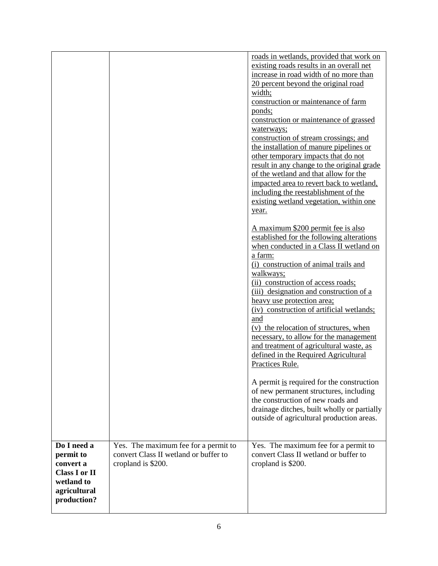|                                                                                                            |                                                                                                     | roads in wetlands, provided that work on<br>existing roads results in an overall net<br>increase in road width of no more than<br>20 percent beyond the original road<br>width;<br>construction or maintenance of farm<br>ponds;<br>construction or maintenance of grassed<br>waterways;<br>construction of stream crossings; and<br>the installation of manure pipelines or<br>other temporary impacts that do not<br>result in any change to the original grade<br>of the wetland and that allow for the<br>impacted area to revert back to wetland,<br>including the reestablishment of the<br>existing wetland vegetation, within one<br>year.<br>A maximum \$200 permit fee is also<br>established for the following alterations<br>when conducted in a Class II wetland on<br>a farm:<br>(i) construction of animal trails and<br>walkways;<br>(ii) construction of access roads;<br>(iii) designation and construction of a<br>heavy use protection area;<br>(iv) construction of artificial wetlands;<br>and<br>(v) the relocation of structures, when<br>necessary, to allow for the management<br>and treatment of agricultural waste, as<br>defined in the Required Agricultural<br>Practices Rule.<br>A permit is required for the construction<br>of new permanent structures, including<br>the construction of new roads and<br>drainage ditches, built wholly or partially |
|------------------------------------------------------------------------------------------------------------|-----------------------------------------------------------------------------------------------------|-------------------------------------------------------------------------------------------------------------------------------------------------------------------------------------------------------------------------------------------------------------------------------------------------------------------------------------------------------------------------------------------------------------------------------------------------------------------------------------------------------------------------------------------------------------------------------------------------------------------------------------------------------------------------------------------------------------------------------------------------------------------------------------------------------------------------------------------------------------------------------------------------------------------------------------------------------------------------------------------------------------------------------------------------------------------------------------------------------------------------------------------------------------------------------------------------------------------------------------------------------------------------------------------------------------------------------------------------------------------------------------------|
|                                                                                                            |                                                                                                     | outside of agricultural production areas.                                                                                                                                                                                                                                                                                                                                                                                                                                                                                                                                                                                                                                                                                                                                                                                                                                                                                                                                                                                                                                                                                                                                                                                                                                                                                                                                                 |
| Do I need a<br>permit to<br>convert a<br><b>Class I or II</b><br>wetland to<br>agricultural<br>production? | Yes. The maximum fee for a permit to<br>convert Class II wetland or buffer to<br>cropland is \$200. | Yes. The maximum fee for a permit to<br>convert Class II wetland or buffer to<br>cropland is \$200.                                                                                                                                                                                                                                                                                                                                                                                                                                                                                                                                                                                                                                                                                                                                                                                                                                                                                                                                                                                                                                                                                                                                                                                                                                                                                       |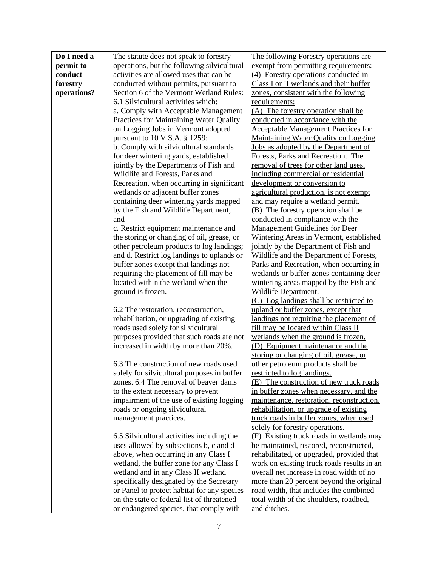| permit to<br>operations, but the following silvicultural<br>exempt from permitting requirements:<br>conduct<br>activities are allowed uses that can be<br>(4) Forestry operations conducted in<br>forestry<br>conducted without permits, pursuant to<br>Class I or II wetlands and their buffer<br>operations?<br>Section 6 of the Vermont Wetland Rules:<br>zones, consistent with the following<br>6.1 Silvicultural activities which:<br>requirements:<br>a. Comply with Acceptable Management<br>(A) The forestry operation shall be<br>Practices for Maintaining Water Quality<br>conducted in accordance with the<br>on Logging Jobs in Vermont adopted<br><b>Acceptable Management Practices for</b><br>pursuant to 10 V.S.A. § 1259;<br><b>Maintaining Water Quality on Logging</b><br>b. Comply with silvicultural standards<br>Jobs as adopted by the Department of<br>Forests, Parks and Recreation. The<br>for deer wintering yards, established<br>removal of trees for other land uses,<br>jointly by the Departments of Fish and<br>Wildlife and Forests, Parks and<br>including commercial or residential<br>Recreation, when occurring in significant<br>development or conversion to<br>agricultural production, is not exempt<br>wetlands or adjacent buffer zones<br>containing deer wintering yards mapped<br>and may require a wetland permit.<br>by the Fish and Wildlife Department;<br>(B) The forestry operation shall be<br>and<br>conducted in compliance with the<br><b>Management Guidelines for Deer</b><br>c. Restrict equipment maintenance and<br>the storing or changing of oil, grease, or<br>Wintering Areas in Vermont, established<br>other petroleum products to log landings;<br>jointly by the Department of Fish and<br>and d. Restrict log landings to uplands or<br>Wildlife and the Department of Forests,<br>buffer zones except that landings not<br>Parks and Recreation, when occurring in<br>requiring the placement of fill may be<br>wetlands or buffer zones containing deer<br>located within the wetland when the<br>wintering areas mapped by the Fish and<br>ground is frozen.<br>Wildlife Department.<br>(C) Log landings shall be restricted to<br>6.2 The restoration, reconstruction,<br>upland or buffer zones, except that<br>rehabilitation, or upgrading of existing<br>landings not requiring the placement of<br>roads used solely for silvicultural<br>fill may be located within Class II<br>purposes provided that such roads are not<br>wetlands when the ground is frozen.<br>increased in width by more than 20%.<br>(D) Equipment maintenance and the<br>storing or changing of oil, grease, or<br>6.3 The construction of new roads used<br>other petroleum products shall be<br>solely for silvicultural purposes in buffer<br>restricted to log landings.<br>zones. 6.4 The removal of beaver dams<br>(E) The construction of new truck roads<br>to the extent necessary to prevent<br>in buffer zones when necessary, and the<br>impairment of the use of existing logging<br>maintenance, restoration, reconstruction,<br>roads or ongoing silvicultural<br>rehabilitation, or upgrade of existing<br>truck roads in buffer zones, when used<br>management practices.<br>solely for forestry operations.<br>6.5 Silvicultural activities including the<br>(F) Existing truck roads in wetlands may<br>uses allowed by subsections b, c and d<br>be maintained, restored, reconstructed,<br>above, when occurring in any Class I<br>rehabilitated, or upgraded, provided that<br>wetland, the buffer zone for any Class I<br>work on existing truck roads results in an<br>wetland and in any Class II wetland<br>overall net increase in road width of no<br>specifically designated by the Secretary<br>more than 20 percent beyond the original<br>or Panel to protect habitat for any species<br>road width, that includes the combined<br>on the state or federal list of threatened<br>total width of the shoulders, roadbed,<br>or endangered species, that comply with<br>and ditches. | Do I need a | The statute does not speak to forestry | The following Forestry operations are |
|-------------------------------------------------------------------------------------------------------------------------------------------------------------------------------------------------------------------------------------------------------------------------------------------------------------------------------------------------------------------------------------------------------------------------------------------------------------------------------------------------------------------------------------------------------------------------------------------------------------------------------------------------------------------------------------------------------------------------------------------------------------------------------------------------------------------------------------------------------------------------------------------------------------------------------------------------------------------------------------------------------------------------------------------------------------------------------------------------------------------------------------------------------------------------------------------------------------------------------------------------------------------------------------------------------------------------------------------------------------------------------------------------------------------------------------------------------------------------------------------------------------------------------------------------------------------------------------------------------------------------------------------------------------------------------------------------------------------------------------------------------------------------------------------------------------------------------------------------------------------------------------------------------------------------------------------------------------------------------------------------------------------------------------------------------------------------------------------------------------------------------------------------------------------------------------------------------------------------------------------------------------------------------------------------------------------------------------------------------------------------------------------------------------------------------------------------------------------------------------------------------------------------------------------------------------------------------------------------------------------------------------------------------------------------------------------------------------------------------------------------------------------------------------------------------------------------------------------------------------------------------------------------------------------------------------------------------------------------------------------------------------------------------------------------------------------------------------------------------------------------------------------------------------------------------------------------------------------------------------------------------------------------------------------------------------------------------------------------------------------------------------------------------------------------------------------------------------------------------------------------------------------------------------------------------------------------------------------------------------------------------------------------------------------------------------------------------------------------------------------------------------------------------------------------------------------------------------------------------------------------------------------------------------------------------------------------------------------------------------------------------------------------------------------------------------------------------|-------------|----------------------------------------|---------------------------------------|
|                                                                                                                                                                                                                                                                                                                                                                                                                                                                                                                                                                                                                                                                                                                                                                                                                                                                                                                                                                                                                                                                                                                                                                                                                                                                                                                                                                                                                                                                                                                                                                                                                                                                                                                                                                                                                                                                                                                                                                                                                                                                                                                                                                                                                                                                                                                                                                                                                                                                                                                                                                                                                                                                                                                                                                                                                                                                                                                                                                                                                                                                                                                                                                                                                                                                                                                                                                                                                                                                                                                                                                                                                                                                                                                                                                                                                                                                                                                                                                                                                                                                               |             |                                        |                                       |
|                                                                                                                                                                                                                                                                                                                                                                                                                                                                                                                                                                                                                                                                                                                                                                                                                                                                                                                                                                                                                                                                                                                                                                                                                                                                                                                                                                                                                                                                                                                                                                                                                                                                                                                                                                                                                                                                                                                                                                                                                                                                                                                                                                                                                                                                                                                                                                                                                                                                                                                                                                                                                                                                                                                                                                                                                                                                                                                                                                                                                                                                                                                                                                                                                                                                                                                                                                                                                                                                                                                                                                                                                                                                                                                                                                                                                                                                                                                                                                                                                                                                               |             |                                        |                                       |
|                                                                                                                                                                                                                                                                                                                                                                                                                                                                                                                                                                                                                                                                                                                                                                                                                                                                                                                                                                                                                                                                                                                                                                                                                                                                                                                                                                                                                                                                                                                                                                                                                                                                                                                                                                                                                                                                                                                                                                                                                                                                                                                                                                                                                                                                                                                                                                                                                                                                                                                                                                                                                                                                                                                                                                                                                                                                                                                                                                                                                                                                                                                                                                                                                                                                                                                                                                                                                                                                                                                                                                                                                                                                                                                                                                                                                                                                                                                                                                                                                                                                               |             |                                        |                                       |
|                                                                                                                                                                                                                                                                                                                                                                                                                                                                                                                                                                                                                                                                                                                                                                                                                                                                                                                                                                                                                                                                                                                                                                                                                                                                                                                                                                                                                                                                                                                                                                                                                                                                                                                                                                                                                                                                                                                                                                                                                                                                                                                                                                                                                                                                                                                                                                                                                                                                                                                                                                                                                                                                                                                                                                                                                                                                                                                                                                                                                                                                                                                                                                                                                                                                                                                                                                                                                                                                                                                                                                                                                                                                                                                                                                                                                                                                                                                                                                                                                                                                               |             |                                        |                                       |
|                                                                                                                                                                                                                                                                                                                                                                                                                                                                                                                                                                                                                                                                                                                                                                                                                                                                                                                                                                                                                                                                                                                                                                                                                                                                                                                                                                                                                                                                                                                                                                                                                                                                                                                                                                                                                                                                                                                                                                                                                                                                                                                                                                                                                                                                                                                                                                                                                                                                                                                                                                                                                                                                                                                                                                                                                                                                                                                                                                                                                                                                                                                                                                                                                                                                                                                                                                                                                                                                                                                                                                                                                                                                                                                                                                                                                                                                                                                                                                                                                                                                               |             |                                        |                                       |
|                                                                                                                                                                                                                                                                                                                                                                                                                                                                                                                                                                                                                                                                                                                                                                                                                                                                                                                                                                                                                                                                                                                                                                                                                                                                                                                                                                                                                                                                                                                                                                                                                                                                                                                                                                                                                                                                                                                                                                                                                                                                                                                                                                                                                                                                                                                                                                                                                                                                                                                                                                                                                                                                                                                                                                                                                                                                                                                                                                                                                                                                                                                                                                                                                                                                                                                                                                                                                                                                                                                                                                                                                                                                                                                                                                                                                                                                                                                                                                                                                                                                               |             |                                        |                                       |
|                                                                                                                                                                                                                                                                                                                                                                                                                                                                                                                                                                                                                                                                                                                                                                                                                                                                                                                                                                                                                                                                                                                                                                                                                                                                                                                                                                                                                                                                                                                                                                                                                                                                                                                                                                                                                                                                                                                                                                                                                                                                                                                                                                                                                                                                                                                                                                                                                                                                                                                                                                                                                                                                                                                                                                                                                                                                                                                                                                                                                                                                                                                                                                                                                                                                                                                                                                                                                                                                                                                                                                                                                                                                                                                                                                                                                                                                                                                                                                                                                                                                               |             |                                        |                                       |
|                                                                                                                                                                                                                                                                                                                                                                                                                                                                                                                                                                                                                                                                                                                                                                                                                                                                                                                                                                                                                                                                                                                                                                                                                                                                                                                                                                                                                                                                                                                                                                                                                                                                                                                                                                                                                                                                                                                                                                                                                                                                                                                                                                                                                                                                                                                                                                                                                                                                                                                                                                                                                                                                                                                                                                                                                                                                                                                                                                                                                                                                                                                                                                                                                                                                                                                                                                                                                                                                                                                                                                                                                                                                                                                                                                                                                                                                                                                                                                                                                                                                               |             |                                        |                                       |
|                                                                                                                                                                                                                                                                                                                                                                                                                                                                                                                                                                                                                                                                                                                                                                                                                                                                                                                                                                                                                                                                                                                                                                                                                                                                                                                                                                                                                                                                                                                                                                                                                                                                                                                                                                                                                                                                                                                                                                                                                                                                                                                                                                                                                                                                                                                                                                                                                                                                                                                                                                                                                                                                                                                                                                                                                                                                                                                                                                                                                                                                                                                                                                                                                                                                                                                                                                                                                                                                                                                                                                                                                                                                                                                                                                                                                                                                                                                                                                                                                                                                               |             |                                        |                                       |
|                                                                                                                                                                                                                                                                                                                                                                                                                                                                                                                                                                                                                                                                                                                                                                                                                                                                                                                                                                                                                                                                                                                                                                                                                                                                                                                                                                                                                                                                                                                                                                                                                                                                                                                                                                                                                                                                                                                                                                                                                                                                                                                                                                                                                                                                                                                                                                                                                                                                                                                                                                                                                                                                                                                                                                                                                                                                                                                                                                                                                                                                                                                                                                                                                                                                                                                                                                                                                                                                                                                                                                                                                                                                                                                                                                                                                                                                                                                                                                                                                                                                               |             |                                        |                                       |
|                                                                                                                                                                                                                                                                                                                                                                                                                                                                                                                                                                                                                                                                                                                                                                                                                                                                                                                                                                                                                                                                                                                                                                                                                                                                                                                                                                                                                                                                                                                                                                                                                                                                                                                                                                                                                                                                                                                                                                                                                                                                                                                                                                                                                                                                                                                                                                                                                                                                                                                                                                                                                                                                                                                                                                                                                                                                                                                                                                                                                                                                                                                                                                                                                                                                                                                                                                                                                                                                                                                                                                                                                                                                                                                                                                                                                                                                                                                                                                                                                                                                               |             |                                        |                                       |
|                                                                                                                                                                                                                                                                                                                                                                                                                                                                                                                                                                                                                                                                                                                                                                                                                                                                                                                                                                                                                                                                                                                                                                                                                                                                                                                                                                                                                                                                                                                                                                                                                                                                                                                                                                                                                                                                                                                                                                                                                                                                                                                                                                                                                                                                                                                                                                                                                                                                                                                                                                                                                                                                                                                                                                                                                                                                                                                                                                                                                                                                                                                                                                                                                                                                                                                                                                                                                                                                                                                                                                                                                                                                                                                                                                                                                                                                                                                                                                                                                                                                               |             |                                        |                                       |
|                                                                                                                                                                                                                                                                                                                                                                                                                                                                                                                                                                                                                                                                                                                                                                                                                                                                                                                                                                                                                                                                                                                                                                                                                                                                                                                                                                                                                                                                                                                                                                                                                                                                                                                                                                                                                                                                                                                                                                                                                                                                                                                                                                                                                                                                                                                                                                                                                                                                                                                                                                                                                                                                                                                                                                                                                                                                                                                                                                                                                                                                                                                                                                                                                                                                                                                                                                                                                                                                                                                                                                                                                                                                                                                                                                                                                                                                                                                                                                                                                                                                               |             |                                        |                                       |
|                                                                                                                                                                                                                                                                                                                                                                                                                                                                                                                                                                                                                                                                                                                                                                                                                                                                                                                                                                                                                                                                                                                                                                                                                                                                                                                                                                                                                                                                                                                                                                                                                                                                                                                                                                                                                                                                                                                                                                                                                                                                                                                                                                                                                                                                                                                                                                                                                                                                                                                                                                                                                                                                                                                                                                                                                                                                                                                                                                                                                                                                                                                                                                                                                                                                                                                                                                                                                                                                                                                                                                                                                                                                                                                                                                                                                                                                                                                                                                                                                                                                               |             |                                        |                                       |
|                                                                                                                                                                                                                                                                                                                                                                                                                                                                                                                                                                                                                                                                                                                                                                                                                                                                                                                                                                                                                                                                                                                                                                                                                                                                                                                                                                                                                                                                                                                                                                                                                                                                                                                                                                                                                                                                                                                                                                                                                                                                                                                                                                                                                                                                                                                                                                                                                                                                                                                                                                                                                                                                                                                                                                                                                                                                                                                                                                                                                                                                                                                                                                                                                                                                                                                                                                                                                                                                                                                                                                                                                                                                                                                                                                                                                                                                                                                                                                                                                                                                               |             |                                        |                                       |
|                                                                                                                                                                                                                                                                                                                                                                                                                                                                                                                                                                                                                                                                                                                                                                                                                                                                                                                                                                                                                                                                                                                                                                                                                                                                                                                                                                                                                                                                                                                                                                                                                                                                                                                                                                                                                                                                                                                                                                                                                                                                                                                                                                                                                                                                                                                                                                                                                                                                                                                                                                                                                                                                                                                                                                                                                                                                                                                                                                                                                                                                                                                                                                                                                                                                                                                                                                                                                                                                                                                                                                                                                                                                                                                                                                                                                                                                                                                                                                                                                                                                               |             |                                        |                                       |
|                                                                                                                                                                                                                                                                                                                                                                                                                                                                                                                                                                                                                                                                                                                                                                                                                                                                                                                                                                                                                                                                                                                                                                                                                                                                                                                                                                                                                                                                                                                                                                                                                                                                                                                                                                                                                                                                                                                                                                                                                                                                                                                                                                                                                                                                                                                                                                                                                                                                                                                                                                                                                                                                                                                                                                                                                                                                                                                                                                                                                                                                                                                                                                                                                                                                                                                                                                                                                                                                                                                                                                                                                                                                                                                                                                                                                                                                                                                                                                                                                                                                               |             |                                        |                                       |
|                                                                                                                                                                                                                                                                                                                                                                                                                                                                                                                                                                                                                                                                                                                                                                                                                                                                                                                                                                                                                                                                                                                                                                                                                                                                                                                                                                                                                                                                                                                                                                                                                                                                                                                                                                                                                                                                                                                                                                                                                                                                                                                                                                                                                                                                                                                                                                                                                                                                                                                                                                                                                                                                                                                                                                                                                                                                                                                                                                                                                                                                                                                                                                                                                                                                                                                                                                                                                                                                                                                                                                                                                                                                                                                                                                                                                                                                                                                                                                                                                                                                               |             |                                        |                                       |
|                                                                                                                                                                                                                                                                                                                                                                                                                                                                                                                                                                                                                                                                                                                                                                                                                                                                                                                                                                                                                                                                                                                                                                                                                                                                                                                                                                                                                                                                                                                                                                                                                                                                                                                                                                                                                                                                                                                                                                                                                                                                                                                                                                                                                                                                                                                                                                                                                                                                                                                                                                                                                                                                                                                                                                                                                                                                                                                                                                                                                                                                                                                                                                                                                                                                                                                                                                                                                                                                                                                                                                                                                                                                                                                                                                                                                                                                                                                                                                                                                                                                               |             |                                        |                                       |
|                                                                                                                                                                                                                                                                                                                                                                                                                                                                                                                                                                                                                                                                                                                                                                                                                                                                                                                                                                                                                                                                                                                                                                                                                                                                                                                                                                                                                                                                                                                                                                                                                                                                                                                                                                                                                                                                                                                                                                                                                                                                                                                                                                                                                                                                                                                                                                                                                                                                                                                                                                                                                                                                                                                                                                                                                                                                                                                                                                                                                                                                                                                                                                                                                                                                                                                                                                                                                                                                                                                                                                                                                                                                                                                                                                                                                                                                                                                                                                                                                                                                               |             |                                        |                                       |
|                                                                                                                                                                                                                                                                                                                                                                                                                                                                                                                                                                                                                                                                                                                                                                                                                                                                                                                                                                                                                                                                                                                                                                                                                                                                                                                                                                                                                                                                                                                                                                                                                                                                                                                                                                                                                                                                                                                                                                                                                                                                                                                                                                                                                                                                                                                                                                                                                                                                                                                                                                                                                                                                                                                                                                                                                                                                                                                                                                                                                                                                                                                                                                                                                                                                                                                                                                                                                                                                                                                                                                                                                                                                                                                                                                                                                                                                                                                                                                                                                                                                               |             |                                        |                                       |
|                                                                                                                                                                                                                                                                                                                                                                                                                                                                                                                                                                                                                                                                                                                                                                                                                                                                                                                                                                                                                                                                                                                                                                                                                                                                                                                                                                                                                                                                                                                                                                                                                                                                                                                                                                                                                                                                                                                                                                                                                                                                                                                                                                                                                                                                                                                                                                                                                                                                                                                                                                                                                                                                                                                                                                                                                                                                                                                                                                                                                                                                                                                                                                                                                                                                                                                                                                                                                                                                                                                                                                                                                                                                                                                                                                                                                                                                                                                                                                                                                                                                               |             |                                        |                                       |
|                                                                                                                                                                                                                                                                                                                                                                                                                                                                                                                                                                                                                                                                                                                                                                                                                                                                                                                                                                                                                                                                                                                                                                                                                                                                                                                                                                                                                                                                                                                                                                                                                                                                                                                                                                                                                                                                                                                                                                                                                                                                                                                                                                                                                                                                                                                                                                                                                                                                                                                                                                                                                                                                                                                                                                                                                                                                                                                                                                                                                                                                                                                                                                                                                                                                                                                                                                                                                                                                                                                                                                                                                                                                                                                                                                                                                                                                                                                                                                                                                                                                               |             |                                        |                                       |
|                                                                                                                                                                                                                                                                                                                                                                                                                                                                                                                                                                                                                                                                                                                                                                                                                                                                                                                                                                                                                                                                                                                                                                                                                                                                                                                                                                                                                                                                                                                                                                                                                                                                                                                                                                                                                                                                                                                                                                                                                                                                                                                                                                                                                                                                                                                                                                                                                                                                                                                                                                                                                                                                                                                                                                                                                                                                                                                                                                                                                                                                                                                                                                                                                                                                                                                                                                                                                                                                                                                                                                                                                                                                                                                                                                                                                                                                                                                                                                                                                                                                               |             |                                        |                                       |
|                                                                                                                                                                                                                                                                                                                                                                                                                                                                                                                                                                                                                                                                                                                                                                                                                                                                                                                                                                                                                                                                                                                                                                                                                                                                                                                                                                                                                                                                                                                                                                                                                                                                                                                                                                                                                                                                                                                                                                                                                                                                                                                                                                                                                                                                                                                                                                                                                                                                                                                                                                                                                                                                                                                                                                                                                                                                                                                                                                                                                                                                                                                                                                                                                                                                                                                                                                                                                                                                                                                                                                                                                                                                                                                                                                                                                                                                                                                                                                                                                                                                               |             |                                        |                                       |
|                                                                                                                                                                                                                                                                                                                                                                                                                                                                                                                                                                                                                                                                                                                                                                                                                                                                                                                                                                                                                                                                                                                                                                                                                                                                                                                                                                                                                                                                                                                                                                                                                                                                                                                                                                                                                                                                                                                                                                                                                                                                                                                                                                                                                                                                                                                                                                                                                                                                                                                                                                                                                                                                                                                                                                                                                                                                                                                                                                                                                                                                                                                                                                                                                                                                                                                                                                                                                                                                                                                                                                                                                                                                                                                                                                                                                                                                                                                                                                                                                                                                               |             |                                        |                                       |
|                                                                                                                                                                                                                                                                                                                                                                                                                                                                                                                                                                                                                                                                                                                                                                                                                                                                                                                                                                                                                                                                                                                                                                                                                                                                                                                                                                                                                                                                                                                                                                                                                                                                                                                                                                                                                                                                                                                                                                                                                                                                                                                                                                                                                                                                                                                                                                                                                                                                                                                                                                                                                                                                                                                                                                                                                                                                                                                                                                                                                                                                                                                                                                                                                                                                                                                                                                                                                                                                                                                                                                                                                                                                                                                                                                                                                                                                                                                                                                                                                                                                               |             |                                        |                                       |
|                                                                                                                                                                                                                                                                                                                                                                                                                                                                                                                                                                                                                                                                                                                                                                                                                                                                                                                                                                                                                                                                                                                                                                                                                                                                                                                                                                                                                                                                                                                                                                                                                                                                                                                                                                                                                                                                                                                                                                                                                                                                                                                                                                                                                                                                                                                                                                                                                                                                                                                                                                                                                                                                                                                                                                                                                                                                                                                                                                                                                                                                                                                                                                                                                                                                                                                                                                                                                                                                                                                                                                                                                                                                                                                                                                                                                                                                                                                                                                                                                                                                               |             |                                        |                                       |
|                                                                                                                                                                                                                                                                                                                                                                                                                                                                                                                                                                                                                                                                                                                                                                                                                                                                                                                                                                                                                                                                                                                                                                                                                                                                                                                                                                                                                                                                                                                                                                                                                                                                                                                                                                                                                                                                                                                                                                                                                                                                                                                                                                                                                                                                                                                                                                                                                                                                                                                                                                                                                                                                                                                                                                                                                                                                                                                                                                                                                                                                                                                                                                                                                                                                                                                                                                                                                                                                                                                                                                                                                                                                                                                                                                                                                                                                                                                                                                                                                                                                               |             |                                        |                                       |
|                                                                                                                                                                                                                                                                                                                                                                                                                                                                                                                                                                                                                                                                                                                                                                                                                                                                                                                                                                                                                                                                                                                                                                                                                                                                                                                                                                                                                                                                                                                                                                                                                                                                                                                                                                                                                                                                                                                                                                                                                                                                                                                                                                                                                                                                                                                                                                                                                                                                                                                                                                                                                                                                                                                                                                                                                                                                                                                                                                                                                                                                                                                                                                                                                                                                                                                                                                                                                                                                                                                                                                                                                                                                                                                                                                                                                                                                                                                                                                                                                                                                               |             |                                        |                                       |
|                                                                                                                                                                                                                                                                                                                                                                                                                                                                                                                                                                                                                                                                                                                                                                                                                                                                                                                                                                                                                                                                                                                                                                                                                                                                                                                                                                                                                                                                                                                                                                                                                                                                                                                                                                                                                                                                                                                                                                                                                                                                                                                                                                                                                                                                                                                                                                                                                                                                                                                                                                                                                                                                                                                                                                                                                                                                                                                                                                                                                                                                                                                                                                                                                                                                                                                                                                                                                                                                                                                                                                                                                                                                                                                                                                                                                                                                                                                                                                                                                                                                               |             |                                        |                                       |
|                                                                                                                                                                                                                                                                                                                                                                                                                                                                                                                                                                                                                                                                                                                                                                                                                                                                                                                                                                                                                                                                                                                                                                                                                                                                                                                                                                                                                                                                                                                                                                                                                                                                                                                                                                                                                                                                                                                                                                                                                                                                                                                                                                                                                                                                                                                                                                                                                                                                                                                                                                                                                                                                                                                                                                                                                                                                                                                                                                                                                                                                                                                                                                                                                                                                                                                                                                                                                                                                                                                                                                                                                                                                                                                                                                                                                                                                                                                                                                                                                                                                               |             |                                        |                                       |
|                                                                                                                                                                                                                                                                                                                                                                                                                                                                                                                                                                                                                                                                                                                                                                                                                                                                                                                                                                                                                                                                                                                                                                                                                                                                                                                                                                                                                                                                                                                                                                                                                                                                                                                                                                                                                                                                                                                                                                                                                                                                                                                                                                                                                                                                                                                                                                                                                                                                                                                                                                                                                                                                                                                                                                                                                                                                                                                                                                                                                                                                                                                                                                                                                                                                                                                                                                                                                                                                                                                                                                                                                                                                                                                                                                                                                                                                                                                                                                                                                                                                               |             |                                        |                                       |
|                                                                                                                                                                                                                                                                                                                                                                                                                                                                                                                                                                                                                                                                                                                                                                                                                                                                                                                                                                                                                                                                                                                                                                                                                                                                                                                                                                                                                                                                                                                                                                                                                                                                                                                                                                                                                                                                                                                                                                                                                                                                                                                                                                                                                                                                                                                                                                                                                                                                                                                                                                                                                                                                                                                                                                                                                                                                                                                                                                                                                                                                                                                                                                                                                                                                                                                                                                                                                                                                                                                                                                                                                                                                                                                                                                                                                                                                                                                                                                                                                                                                               |             |                                        |                                       |
|                                                                                                                                                                                                                                                                                                                                                                                                                                                                                                                                                                                                                                                                                                                                                                                                                                                                                                                                                                                                                                                                                                                                                                                                                                                                                                                                                                                                                                                                                                                                                                                                                                                                                                                                                                                                                                                                                                                                                                                                                                                                                                                                                                                                                                                                                                                                                                                                                                                                                                                                                                                                                                                                                                                                                                                                                                                                                                                                                                                                                                                                                                                                                                                                                                                                                                                                                                                                                                                                                                                                                                                                                                                                                                                                                                                                                                                                                                                                                                                                                                                                               |             |                                        |                                       |
|                                                                                                                                                                                                                                                                                                                                                                                                                                                                                                                                                                                                                                                                                                                                                                                                                                                                                                                                                                                                                                                                                                                                                                                                                                                                                                                                                                                                                                                                                                                                                                                                                                                                                                                                                                                                                                                                                                                                                                                                                                                                                                                                                                                                                                                                                                                                                                                                                                                                                                                                                                                                                                                                                                                                                                                                                                                                                                                                                                                                                                                                                                                                                                                                                                                                                                                                                                                                                                                                                                                                                                                                                                                                                                                                                                                                                                                                                                                                                                                                                                                                               |             |                                        |                                       |
|                                                                                                                                                                                                                                                                                                                                                                                                                                                                                                                                                                                                                                                                                                                                                                                                                                                                                                                                                                                                                                                                                                                                                                                                                                                                                                                                                                                                                                                                                                                                                                                                                                                                                                                                                                                                                                                                                                                                                                                                                                                                                                                                                                                                                                                                                                                                                                                                                                                                                                                                                                                                                                                                                                                                                                                                                                                                                                                                                                                                                                                                                                                                                                                                                                                                                                                                                                                                                                                                                                                                                                                                                                                                                                                                                                                                                                                                                                                                                                                                                                                                               |             |                                        |                                       |
|                                                                                                                                                                                                                                                                                                                                                                                                                                                                                                                                                                                                                                                                                                                                                                                                                                                                                                                                                                                                                                                                                                                                                                                                                                                                                                                                                                                                                                                                                                                                                                                                                                                                                                                                                                                                                                                                                                                                                                                                                                                                                                                                                                                                                                                                                                                                                                                                                                                                                                                                                                                                                                                                                                                                                                                                                                                                                                                                                                                                                                                                                                                                                                                                                                                                                                                                                                                                                                                                                                                                                                                                                                                                                                                                                                                                                                                                                                                                                                                                                                                                               |             |                                        |                                       |
|                                                                                                                                                                                                                                                                                                                                                                                                                                                                                                                                                                                                                                                                                                                                                                                                                                                                                                                                                                                                                                                                                                                                                                                                                                                                                                                                                                                                                                                                                                                                                                                                                                                                                                                                                                                                                                                                                                                                                                                                                                                                                                                                                                                                                                                                                                                                                                                                                                                                                                                                                                                                                                                                                                                                                                                                                                                                                                                                                                                                                                                                                                                                                                                                                                                                                                                                                                                                                                                                                                                                                                                                                                                                                                                                                                                                                                                                                                                                                                                                                                                                               |             |                                        |                                       |
|                                                                                                                                                                                                                                                                                                                                                                                                                                                                                                                                                                                                                                                                                                                                                                                                                                                                                                                                                                                                                                                                                                                                                                                                                                                                                                                                                                                                                                                                                                                                                                                                                                                                                                                                                                                                                                                                                                                                                                                                                                                                                                                                                                                                                                                                                                                                                                                                                                                                                                                                                                                                                                                                                                                                                                                                                                                                                                                                                                                                                                                                                                                                                                                                                                                                                                                                                                                                                                                                                                                                                                                                                                                                                                                                                                                                                                                                                                                                                                                                                                                                               |             |                                        |                                       |
|                                                                                                                                                                                                                                                                                                                                                                                                                                                                                                                                                                                                                                                                                                                                                                                                                                                                                                                                                                                                                                                                                                                                                                                                                                                                                                                                                                                                                                                                                                                                                                                                                                                                                                                                                                                                                                                                                                                                                                                                                                                                                                                                                                                                                                                                                                                                                                                                                                                                                                                                                                                                                                                                                                                                                                                                                                                                                                                                                                                                                                                                                                                                                                                                                                                                                                                                                                                                                                                                                                                                                                                                                                                                                                                                                                                                                                                                                                                                                                                                                                                                               |             |                                        |                                       |
|                                                                                                                                                                                                                                                                                                                                                                                                                                                                                                                                                                                                                                                                                                                                                                                                                                                                                                                                                                                                                                                                                                                                                                                                                                                                                                                                                                                                                                                                                                                                                                                                                                                                                                                                                                                                                                                                                                                                                                                                                                                                                                                                                                                                                                                                                                                                                                                                                                                                                                                                                                                                                                                                                                                                                                                                                                                                                                                                                                                                                                                                                                                                                                                                                                                                                                                                                                                                                                                                                                                                                                                                                                                                                                                                                                                                                                                                                                                                                                                                                                                                               |             |                                        |                                       |
|                                                                                                                                                                                                                                                                                                                                                                                                                                                                                                                                                                                                                                                                                                                                                                                                                                                                                                                                                                                                                                                                                                                                                                                                                                                                                                                                                                                                                                                                                                                                                                                                                                                                                                                                                                                                                                                                                                                                                                                                                                                                                                                                                                                                                                                                                                                                                                                                                                                                                                                                                                                                                                                                                                                                                                                                                                                                                                                                                                                                                                                                                                                                                                                                                                                                                                                                                                                                                                                                                                                                                                                                                                                                                                                                                                                                                                                                                                                                                                                                                                                                               |             |                                        |                                       |
|                                                                                                                                                                                                                                                                                                                                                                                                                                                                                                                                                                                                                                                                                                                                                                                                                                                                                                                                                                                                                                                                                                                                                                                                                                                                                                                                                                                                                                                                                                                                                                                                                                                                                                                                                                                                                                                                                                                                                                                                                                                                                                                                                                                                                                                                                                                                                                                                                                                                                                                                                                                                                                                                                                                                                                                                                                                                                                                                                                                                                                                                                                                                                                                                                                                                                                                                                                                                                                                                                                                                                                                                                                                                                                                                                                                                                                                                                                                                                                                                                                                                               |             |                                        |                                       |
|                                                                                                                                                                                                                                                                                                                                                                                                                                                                                                                                                                                                                                                                                                                                                                                                                                                                                                                                                                                                                                                                                                                                                                                                                                                                                                                                                                                                                                                                                                                                                                                                                                                                                                                                                                                                                                                                                                                                                                                                                                                                                                                                                                                                                                                                                                                                                                                                                                                                                                                                                                                                                                                                                                                                                                                                                                                                                                                                                                                                                                                                                                                                                                                                                                                                                                                                                                                                                                                                                                                                                                                                                                                                                                                                                                                                                                                                                                                                                                                                                                                                               |             |                                        |                                       |
|                                                                                                                                                                                                                                                                                                                                                                                                                                                                                                                                                                                                                                                                                                                                                                                                                                                                                                                                                                                                                                                                                                                                                                                                                                                                                                                                                                                                                                                                                                                                                                                                                                                                                                                                                                                                                                                                                                                                                                                                                                                                                                                                                                                                                                                                                                                                                                                                                                                                                                                                                                                                                                                                                                                                                                                                                                                                                                                                                                                                                                                                                                                                                                                                                                                                                                                                                                                                                                                                                                                                                                                                                                                                                                                                                                                                                                                                                                                                                                                                                                                                               |             |                                        |                                       |
|                                                                                                                                                                                                                                                                                                                                                                                                                                                                                                                                                                                                                                                                                                                                                                                                                                                                                                                                                                                                                                                                                                                                                                                                                                                                                                                                                                                                                                                                                                                                                                                                                                                                                                                                                                                                                                                                                                                                                                                                                                                                                                                                                                                                                                                                                                                                                                                                                                                                                                                                                                                                                                                                                                                                                                                                                                                                                                                                                                                                                                                                                                                                                                                                                                                                                                                                                                                                                                                                                                                                                                                                                                                                                                                                                                                                                                                                                                                                                                                                                                                                               |             |                                        |                                       |
|                                                                                                                                                                                                                                                                                                                                                                                                                                                                                                                                                                                                                                                                                                                                                                                                                                                                                                                                                                                                                                                                                                                                                                                                                                                                                                                                                                                                                                                                                                                                                                                                                                                                                                                                                                                                                                                                                                                                                                                                                                                                                                                                                                                                                                                                                                                                                                                                                                                                                                                                                                                                                                                                                                                                                                                                                                                                                                                                                                                                                                                                                                                                                                                                                                                                                                                                                                                                                                                                                                                                                                                                                                                                                                                                                                                                                                                                                                                                                                                                                                                                               |             |                                        |                                       |
|                                                                                                                                                                                                                                                                                                                                                                                                                                                                                                                                                                                                                                                                                                                                                                                                                                                                                                                                                                                                                                                                                                                                                                                                                                                                                                                                                                                                                                                                                                                                                                                                                                                                                                                                                                                                                                                                                                                                                                                                                                                                                                                                                                                                                                                                                                                                                                                                                                                                                                                                                                                                                                                                                                                                                                                                                                                                                                                                                                                                                                                                                                                                                                                                                                                                                                                                                                                                                                                                                                                                                                                                                                                                                                                                                                                                                                                                                                                                                                                                                                                                               |             |                                        |                                       |
|                                                                                                                                                                                                                                                                                                                                                                                                                                                                                                                                                                                                                                                                                                                                                                                                                                                                                                                                                                                                                                                                                                                                                                                                                                                                                                                                                                                                                                                                                                                                                                                                                                                                                                                                                                                                                                                                                                                                                                                                                                                                                                                                                                                                                                                                                                                                                                                                                                                                                                                                                                                                                                                                                                                                                                                                                                                                                                                                                                                                                                                                                                                                                                                                                                                                                                                                                                                                                                                                                                                                                                                                                                                                                                                                                                                                                                                                                                                                                                                                                                                                               |             |                                        |                                       |